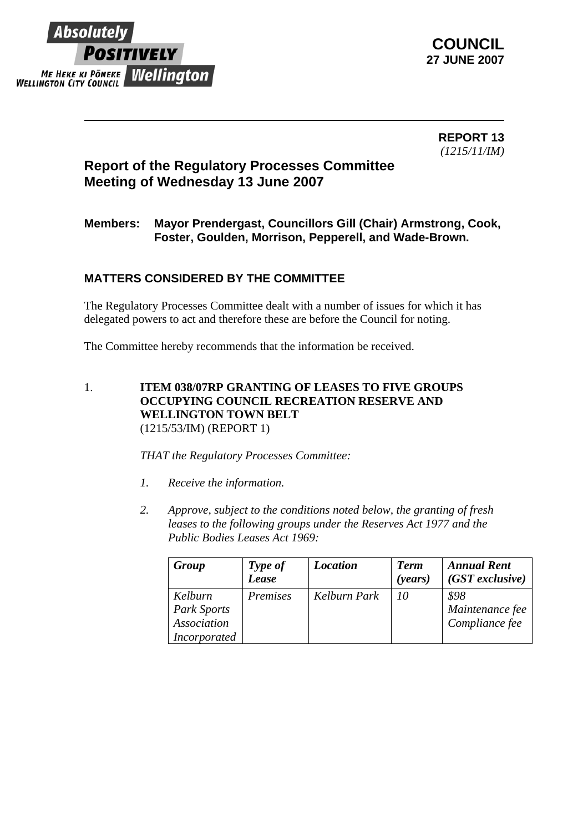

 **REPORT 13** *(1215/11/IM)* 

## **Report of the Regulatory Processes Committee Meeting of Wednesday 13 June 2007**

## **Members: Mayor Prendergast, Councillors Gill (Chair) Armstrong, Cook, Foster, Goulden, Morrison, Pepperell, and Wade-Brown.**

## **MATTERS CONSIDERED BY THE COMMITTEE**

The Regulatory Processes Committee dealt with a number of issues for which it has delegated powers to act and therefore these are before the Council for noting.

The Committee hereby recommends that the information be received.

1. **ITEM 038/07RP GRANTING OF LEASES TO FIVE GROUPS OCCUPYING COUNCIL RECREATION RESERVE AND WELLINGTON TOWN BELT**  (1215/53/IM) (REPORT 1)

*THAT the Regulatory Processes Committee:* 

- *1. Receive the information.*
- *2. Approve, subject to the conditions noted below, the granting of fresh leases to the following groups under the Reserves Act 1977 and the Public Bodies Leases Act 1969:*

| Group               | Type of<br>Lease | <b>Location</b> | <b>Term</b><br>( <i>years</i> ) | <b>Annual Rent</b><br>$(GST$ exclusive) |
|---------------------|------------------|-----------------|---------------------------------|-----------------------------------------|
| Kelburn             | Premises         | Kelburn Park    | -10                             | \$98                                    |
| Park Sports         |                  |                 |                                 | Maintenance fee                         |
| Association         |                  |                 |                                 | Compliance fee                          |
| <i>Incorporated</i> |                  |                 |                                 |                                         |